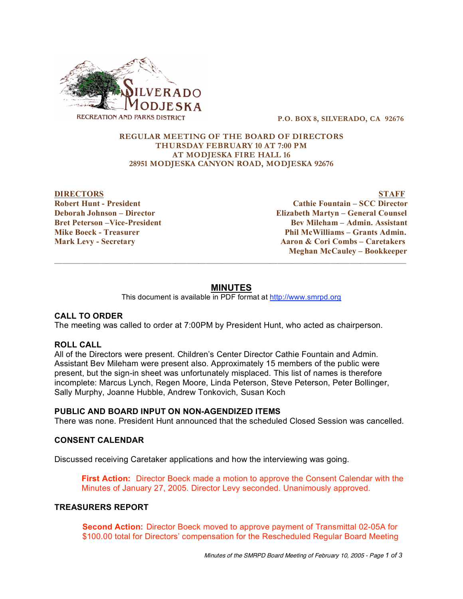

**P.O. BOX 8, SILVERADO, CA 92676**

## **REGULAR MEETING OF THE BOARD OF DIRECTORS THURSDAY FEBRUARY 10 AT 7:00 PM AT MODJESKA FIRE HALL 16 28951 MODJESKA CANYON ROAD, MODJESKA 92676**

**DIRECTORS STAFF Robert Hunt - President Cathie Fountain – SCC Director Deborah Johnson – Director Elizabeth Martyn – General Counsel Bret Peterson –Vice-President Bev Mileham – Admin. Assistant Mike Boeck - Treasurer Phil McWilliams – Grants Admin. Mark Levy - Secretary Aaron & Cori Combs – Caretakers Meghan McCauley – Bookkeeper**  $\overline{\phantom{a}}$  ,  $\overline{\phantom{a}}$  ,  $\overline{\phantom{a}}$  ,  $\overline{\phantom{a}}$  ,  $\overline{\phantom{a}}$  ,  $\overline{\phantom{a}}$  ,  $\overline{\phantom{a}}$  ,  $\overline{\phantom{a}}$  ,  $\overline{\phantom{a}}$  ,  $\overline{\phantom{a}}$  ,  $\overline{\phantom{a}}$  ,  $\overline{\phantom{a}}$  ,  $\overline{\phantom{a}}$  ,  $\overline{\phantom{a}}$  ,  $\overline{\phantom{a}}$  ,  $\overline{\phantom{a}}$ 

# **MINUTES**

This document is available in PDF format at http://www.smrpd.org

# **CALL TO ORDER**

The meeting was called to order at 7:00PM by President Hunt, who acted as chairperson.

## **ROLL CALL**

All of the Directors were present. Children's Center Director Cathie Fountain and Admin. Assistant Bev Mileham were present also. Approximately 15 members of the public were present, but the sign-in sheet was unfortunately misplaced. This list of names is therefore incomplete: Marcus Lynch, Regen Moore, Linda Peterson, Steve Peterson, Peter Bollinger, Sally Murphy, Joanne Hubble, Andrew Tonkovich, Susan Koch

## **PUBLIC AND BOARD INPUT ON NON-AGENDIZED ITEMS**

There was none. President Hunt announced that the scheduled Closed Session was cancelled.

## **CONSENT CALENDAR**

Discussed receiving Caretaker applications and how the interviewing was going.

**First Action:** Director Boeck made a motion to approve the Consent Calendar with the Minutes of January 27, 2005. Director Levy seconded. Unanimously approved.

## **TREASURERS REPORT**

**Second Action:** Director Boeck moved to approve payment of Transmittal 02-05A for \$100.00 total for Directors' compensation for the Rescheduled Regular Board Meeting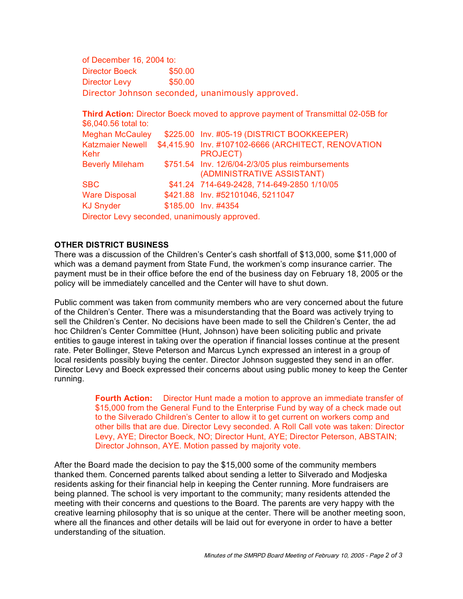of December 16, 2004 to: Director Boeck \$50.00 Director Levy \$50.00 Director Johnson seconded, unanimously approved.

**Third Action:** Director Boeck moved to approve payment of Transmittal 02-05B for \$6,040.56 total to: Meghan McCauley \$225.00 Inv. #05-19 (DISTRICT BOOKKEEPER) Katzmaier Newell \$4,415.90 Inv. #107102-6666 (ARCHITECT, RENOVATION Kehr PROJECT) Beverly Mileham \$751.54 Inv. 12/6/04-2/3/05 plus reimbursements (ADMINISTRATIVE ASSISTANT) SBC \$41.24 714-649-2428, 714-649-2850 1/10/05 Ware Disposal \$421.88 Inv. #52101046, 5211047 KJ Snyder \$185.00 Inv. #4354 Director Levy seconded, unanimously approved.

## **OTHER DISTRICT BUSINESS**

There was a discussion of the Children's Center's cash shortfall of \$13,000, some \$11,000 of which was a demand payment from State Fund, the workmen's comp insurance carrier. The payment must be in their office before the end of the business day on February 18, 2005 or the policy will be immediately cancelled and the Center will have to shut down.

Public comment was taken from community members who are very concerned about the future of the Children's Center. There was a misunderstanding that the Board was actively trying to sell the Children's Center. No decisions have been made to sell the Children's Center, the ad hoc Children's Center Committee (Hunt, Johnson) have been soliciting public and private entities to gauge interest in taking over the operation if financial losses continue at the present rate. Peter Bollinger, Steve Peterson and Marcus Lynch expressed an interest in a group of local residents possibly buying the center. Director Johnson suggested they send in an offer. Director Levy and Boeck expressed their concerns about using public money to keep the Center running.

> **Fourth Action:** Director Hunt made a motion to approve an immediate transfer of \$15,000 from the General Fund to the Enterprise Fund by way of a check made out to the Silverado Children's Center to allow it to get current on workers comp and other bills that are due. Director Levy seconded. A Roll Call vote was taken: Director Levy, AYE; Director Boeck, NO; Director Hunt, AYE; Director Peterson, ABSTAIN; Director Johnson, AYE. Motion passed by majority vote.

After the Board made the decision to pay the \$15,000 some of the community members thanked them. Concerned parents talked about sending a letter to Silverado and Modjeska residents asking for their financial help in keeping the Center running. More fundraisers are being planned. The school is very important to the community; many residents attended the meeting with their concerns and questions to the Board. The parents are very happy with the creative learning philosophy that is so unique at the center. There will be another meeting soon, where all the finances and other details will be laid out for everyone in order to have a better understanding of the situation.